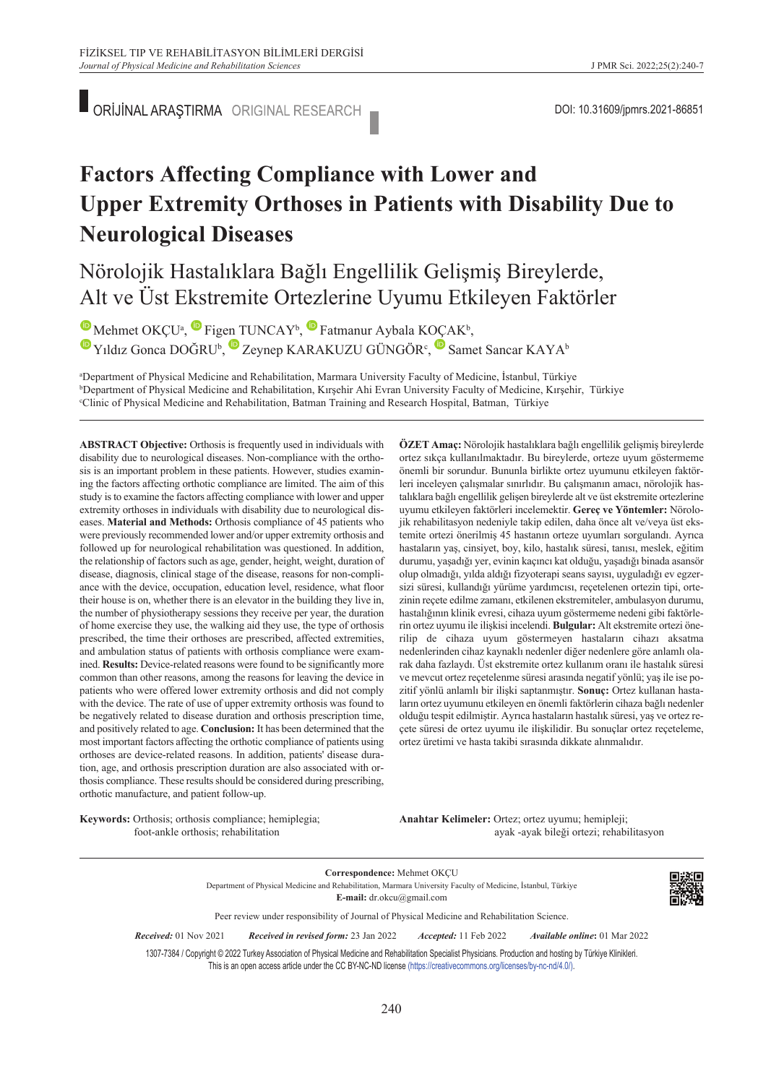ORİJİNAL ARAŞTIRMA ORIGINAL RESEARCH **DOLLA ARAŞTIRMA ORIGINAL RESEARCH** 

# **Factors Affecting Compliance with Lower and Upper Extremity Orthoses in Patients with Disability Due to Neurological Diseases**

### Nörolojik Hastalıklara Bağlı Engellilik Gelişmiş Bireylerde, Alt ve Üst Ekstremite Ortezlerine Uyumu Etkileyen Faktörler

MehmetOKÇU<sup>a</sup>, Figen TUNCAY<sup>b</sup>, Fatmanur Aybala KOÇAK<sup>b</sup>, YıldızGonca DOĞRU<sup>b</sup>, Zeynep KARAKUZU GÜNGÖR<sup>c</sup>, Samet Sancar KAYA<sup>b</sup>

"Department of Physical Medicine and Rehabilitation, Marmara University Faculty of Medicine, İstanbul, Türkiye<br>"Department of Physical Medicine and Rehabilitation, Kırsehir Abi Eyran University Faculty of Medicine, Kırsehi <sup>b</sup>Department of Physical Medicine and Rehabilitation, Kırşehir Ahi Evran University Faculty of Medicine, Kırşehir, Türkiye Clinic of Physical Medicine and Rehabilitation, Batman Training and Research Hospital, Batman, Türkiye

**ABS TRACT Objective:** Orthosis is frequently used in individuals with disability due to neurological diseases. Non-compliance with the orthosis is an important problem in these patients. However, studies examining the factors affecting orthotic compliance are limited. The aim of this study is to examine the factors affecting compliance with lower and upper extremity orthoses in individuals with disability due to neurological diseases. **Material and Methods:** Orthosis compliance of 45 patients who were previously recommended lower and/or upper extremity orthosis and followed up for neurological rehabilitation was questioned. In addition, the relationship of factors such as age, gender, height, weight, duration of disease, diagnosis, clinical stage of the disease, reasons for non-compliance with the device, occupation, education level, residence, what floor their house is on, whether there is an elevator in the building they live in, the number of physiotherapy sessions they receive per year, the duration of home exercise they use, the walking aid they use, the type of orthosis prescribed, the time their orthoses are prescribed, affected extremities, and ambulation status of patients with orthosis compliance were examined. **Results:** Device-related reasons were found to be significantly more common than other reasons, among the reasons for leaving the device in patients who were offered lower extremity orthosis and did not comply with the device. The rate of use of upper extremity orthosis was found to be negatively related to disease duration and orthosis prescription time, and positively related to age. **Conclusion:** It has been determined that the most important factors affecting the orthotic compliance of patients using orthoses are device-related reasons. In addition, patients' disease duration, age, and orthosis prescription duration are also associated with orthosis compliance. These results should be considered during prescribing, orthotic manufacture, and patient follow-up.

**Keywords:** Orthosis; orthosis compliance; hemiplegia; foot-ankle orthosis; rehabilitation

**ÖZET Amaç:** Nörolojik hastalıklara bağlı engellilik gelişmiş bireylerde ortez sıkça kullanılmaktadır. Bu bireylerde, orteze uyum göstermeme önemli bir sorundur. Bununla birlikte ortez uyumunu etkileyen faktörleri inceleyen çalışmalar sınırlıdır. Bu çalışmanın amacı, nörolojik hastalıklara bağlı engellilik gelişen bireylerde alt ve üst ekstremite ortezlerine uyumu etkileyen faktörleri incelemektir. **Gereç ve Yöntemler:** Nörolojik rehabilitasyon nedeniyle takip edilen, daha önce alt ve/veya üst ekstemite ortezi önerilmiş 45 hastanın orteze uyumları sorgulandı. Ayrıca hastaların yaş, cinsiyet, boy, kilo, hastalık süresi, tanısı, meslek, eğitim durumu, yaşadığı yer, evinin kaçıncı kat olduğu, yaşadığı binada asansör olup olmadığı, yılda aldığı fizyoterapi seans sayısı, uyguladığı ev egzersizi süresi, kullandığı yürüme yardımcısı, reçetelenen ortezin tipi, ortezinin reçete edilme zamanı, etkilenen ekstremiteler, ambulasyon durumu, hastalığının klinik evresi, cihaza uyum göstermeme nedeni gibi faktörlerin ortez uyumu ile ilişkisi incelendi. **Bulgular:** Alt ekstremite ortezi önerilip de cihaza uyum göstermeyen hastaların cihazı aksatma nedenlerinden cihaz kaynaklı nedenler diğer nedenlere göre anlamlı olarak daha fazlaydı. Üst ekstremite ortez kullanım oranı ile hastalık süresi ve mevcut ortez reçetelenme süresi arasında negatif yönlü; yaş ile ise pozitif yönlü anlamlı bir ilişki saptanmıştır. **Sonuç:** Ortez kullanan hastaların ortez uyumunu etkileyen en önemli faktörlerin cihaza bağlı nedenler olduğu tespit edilmiştir. Ayrıca hastaların hastalık süresi, yaş ve ortez reçete süresi de ortez uyumu ile ilişkilidir. Bu sonuçlar ortez reçeteleme, ortez üretimi ve hasta takibi sırasında dikkate alınmalıdır.

Anahtar Kelimeler: Ortez; ortez uyumu; hemipleji; ayak -ayak bileği ortezi; rehabilitasyon

**Correspondence:** Mehmet OKÇU Department of Physical Medicine and Rehabilitation, Marmara University Faculty of Medicine, İstanbul, Türkiye **E-mail:** dr.okcu@gmail.com



Peer review under responsibility of Journal of Physical Medicine and Rehabilitation Science.

*Re ce i ved:* 01 Nov 2021 *Received in revised form:* 23 Jan 2022 *Ac cep ted:* 11 Feb 2022 *Available online***:** 01 Mar 2022

1307-7384 / Copyright © 2022 Turkey Association of Physical Medicine and Rehabilitation Specialist Physicians. Production and hosting by Türkiye Klinikleri. This is an open access article under the CC BY-NC-ND license [\(https://creativecommons.org/licenses/by-nc-nd/4.0/\)](https://creativecommons.org/licenses/by-nc-nd/4.0/).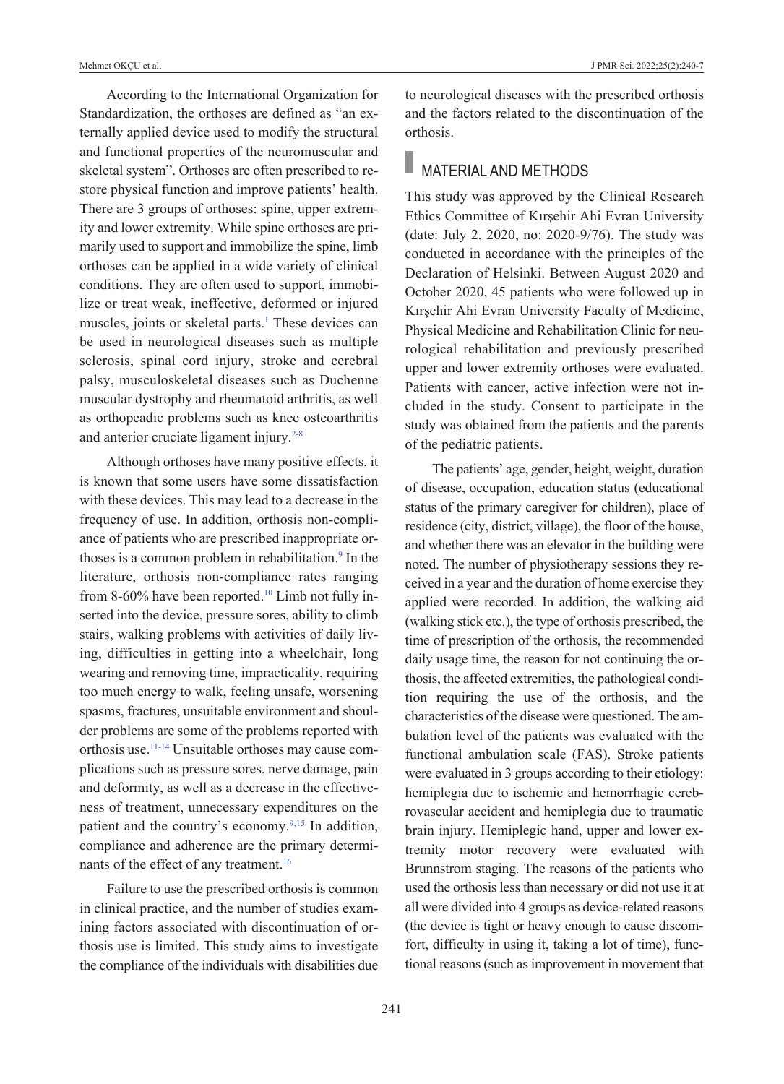According to the International Organization for Standardization, the orthoses are defined as "an externally applied device used to modify the structural and functional properties of the neuromuscular and skeletal system". Orthoses are often prescribed to restore physical function and improve patients' health. There are 3 groups of orthoses: spine, upper extremity and lower extremity. While spine orthoses are primarily used to support and immobilize the spine, limb orthoses can be applied in a wide variety of clinical conditions. They are often used to support, immobilize or treat weak, ineffective, deformed or injured muscles, joints or skeletal parts.<sup>1</sup> These devices can be used in neurological diseases such as multiple sclerosis, spinal cord injury, stroke and cerebral palsy, musculoskeletal diseases such as Duchenne muscular dystrophy and rheumatoid arthritis, as well as orthopeadic problems such as knee osteoarthritis and anterior cruciate ligament injury.<sup>2-8</sup>

Although orthoses have many positive effects, it is known that some users have some dissatisfaction with these devices. This may lead to a decrease in the frequency of use. In addition, orthosis non-compliance of patients who are prescribed inappropriate orthoses is a common problem in rehabilitation.<sup>9</sup> In the literature, orthosis non-compliance rates ranging from 8-60% have been reported.<sup>10</sup> Limb not fully inserted into the device, pressure sores, ability to climb stairs, walking problems with activities of daily living, difficulties in getting into a wheelchair, long wearing and removing time, impracticality, requiring too much energy to walk, feeling unsafe, worsening spasms, fractures, unsuitable environment and shoulder problems are some of the problems reported with orthosis use[.11-14](#page-7-0) Unsuitable orthoses may cause complications such as pressure sores, nerve damage, pain and deformity, as well as a decrease in the effectiveness of treatment, unnecessary expenditures on the patient and the country's economy.<sup>9,15</sup> In addition, compliance and adherence are the primary determinants of the effect of any treatment[.16](#page-7-0)

Failure to use the prescribed orthosis is common in clinical practice, and the number of studies examining factors associated with discontinuation of orthosis use is limited. This study aims to investigate the compliance of the individuals with disabilities due to neurological diseases with the prescribed orthosis and the factors related to the discontinuation of the orthosis.

## **MATERIAL AND METHODS**

This study was approved by the Clinical Research Ethics Committee of Kırşehir Ahi Evran University (date: July 2, 2020, no: 2020-9/76). The study was conducted in accordance with the principles of the Declaration of Helsinki. Between August 2020 and October 2020, 45 patients who were followed up in Kırşehir Ahi Evran University Faculty of Medicine, Physical Medicine and Rehabilitation Clinic for neurological rehabilitation and previously prescribed upper and lower extremity orthoses were evaluated. Patients with cancer, active infection were not included in the study. Consent to participate in the study was obtained from the patients and the parents of the pediatric patients.

The patients' age, gender, height, weight, duration of disease, occupation, education status (educational status of the primary caregiver for children), place of residence (city, district, village), the floor of the house, and whether there was an elevator in the building were noted. The number of physiotherapy sessions they received in a year and the duration of home exercise they applied were recorded. In addition, the walking aid (walking stick etc.), the type of orthosis prescribed, the time of prescription of the orthosis, the recommended daily usage time, the reason for not continuing the orthosis, the affected extremities, the pathological condition requiring the use of the orthosis, and the characteristics of the disease were questioned. The ambulation level of the patients was evaluated with the functional ambulation scale (FAS). Stroke patients were evaluated in 3 groups according to their etiology: hemiplegia due to ischemic and hemorrhagic cerebrovascular accident and hemiplegia due to traumatic brain injury. Hemiplegic hand, upper and lower extremity motor recovery were evaluated with Brunnstrom staging. The reasons of the patients who used the orthosis less than necessary or did not use it at all were divided into 4 groups as device-related reasons (the device is tight or heavy enough to cause discomfort, difficulty in using it, taking a lot of time), functional reasons (such as improvement in movement that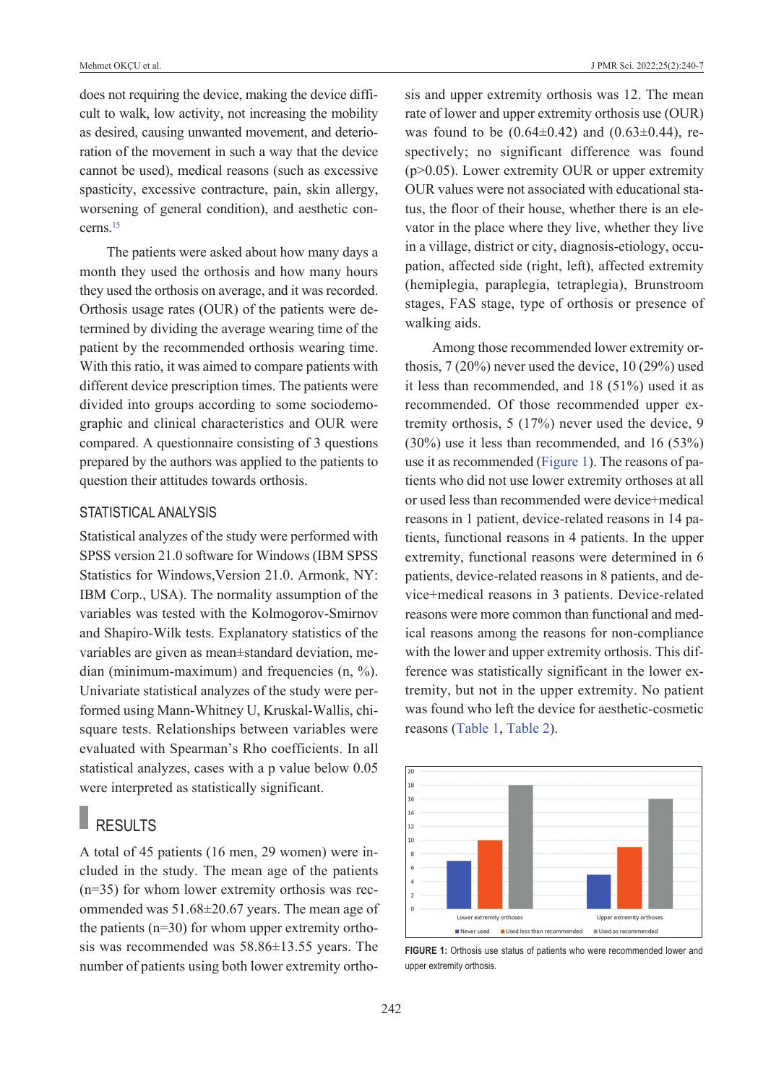does not requiring the device, making the device difficult to walk, low activity, not increasing the mobility as desired, causing unwanted movement, and deterioration of the movement in such a way that the device cannot be used), medical reasons (such as excessive spasticity, excessive contracture, pain, skin allergy, worsening of general condition), and aesthetic concerns[.15](#page-7-0)

The patients were asked about how many days a month they used the orthosis and how many hours they used the orthosis on average, and it was recorded. Orthosis usage rates (OUR) of the patients were determined by dividing the average wearing time of the patient by the recommended orthosis wearing time. With this ratio, it was aimed to compare patients with different device prescription times. The patients were divided into groups according to some sociodemographic and clinical characteristics and OUR were compared. A questionnaire consisting of 3 questions prepared by the authors was applied to the patients to question their attitudes towards orthosis.

#### STATISTICAL ANALYSIS

Statistical analyzes of the study were performed with SPSS version 21.0 software for Windows (IBM SPSS Statistics for Windows,Version 21.0. Armonk, NY: IBM Corp., USA). The normality assumption of the variables was tested with the Kolmogorov-Smirnov and Shapiro-Wilk tests. Explanatory statistics of the variables are given as mean±standard deviation, median (minimum-maximum) and frequencies (n, %). Univariate statistical analyzes of the study were performed using Mann-Whitney U, Kruskal-Wallis, chisquare tests. Relationships between variables were evaluated with Spearman's Rho coefficients. In all statistical analyzes, cases with a p value below 0.05 were interpreted as statistically significant.

### **RESULTS**

A total of 45 patients (16 men, 29 women) were included in the study. The mean age of the patients (n=35) for whom lower extremity orthosis was recommended was 51.68±20.67 years. The mean age of the patients (n=30) for whom upper extremity orthosis was recommended was 58.86±13.55 years. The number of patients using both lower extremity orthosis and upper extremity orthosis was 12. The mean rate of lower and upper extremity orthosis use (OUR) was found to be  $(0.64\pm0.42)$  and  $(0.63\pm0.44)$ , respectively; no significant difference was found (p>0.05). Lower extremity OUR or upper extremity OUR values were not associated with educational status, the floor of their house, whether there is an elevator in the place where they live, whether they live in a village, district or city, diagnosis-etiology, occupation, affected side (right, left), affected extremity (hemiplegia, paraplegia, tetraplegia), Brunstroom stages, FAS stage, type of orthosis or presence of walking aids.

Among those recommended lower extremity orthosis, 7 (20%) never used the device, 10 (29%) used it less than recommended, and 18 (51%) used it as recommended. Of those recommended upper extremity orthosis, 5 (17%) never used the device, 9 (30%) use it less than recommended, and 16 (53%) use it as recommended [\(Figure 1\)](#page-2-0). The reasons of patients who did not use lower extremity orthoses at all or used less than recommended were device+medical reasons in 1 patient, device-related reasons in 14 patients, functional reasons in 4 patients. In the upper extremity, functional reasons were determined in 6 patients, device-related reasons in 8 patients, and device+medical reasons in 3 patients. Device-related reasons were more common than functional and medical reasons among the reasons for non-compliance with the lower and upper extremity orthosis. This difference was statistically significant in the lower extremity, but not in the upper extremity. No patient was found who left the device for aesthetic-cosmetic reasons [\(Table 1,](#page-3-0) [Table 2\)](#page-4-0).



<span id="page-2-0"></span>FIGURE 1: Orthosis use status of patients who were recommended lower and upper extremity orthosis.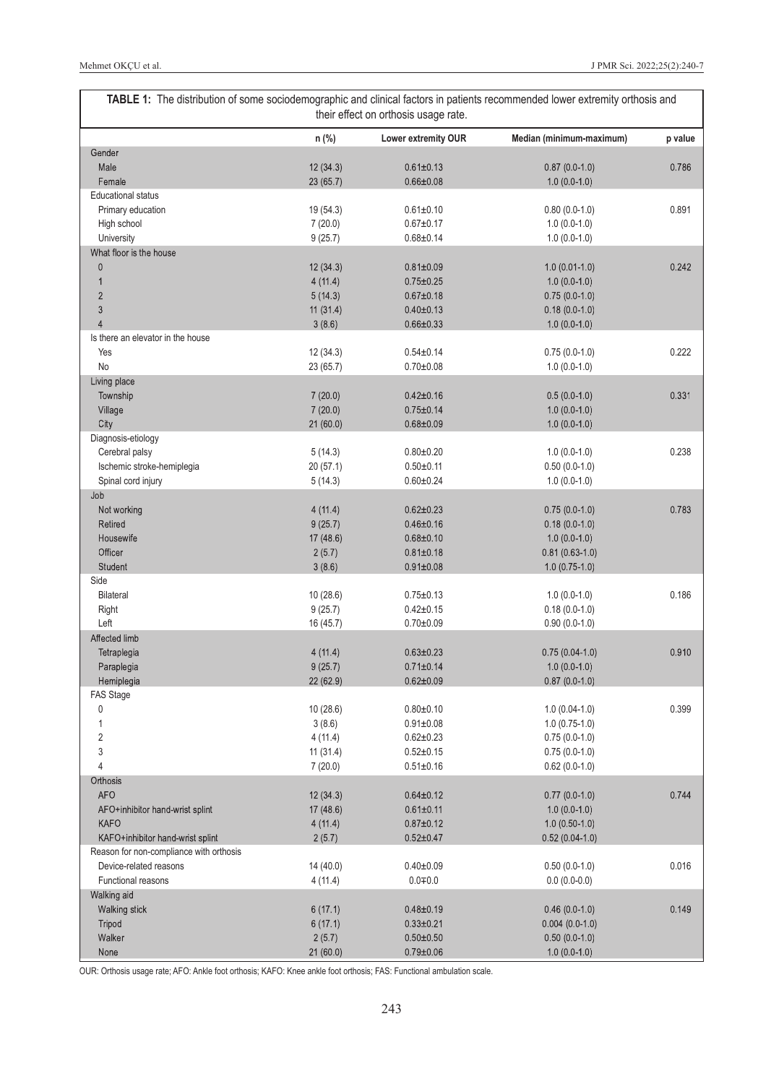<span id="page-3-0"></span>

| TABLE 1: The distribution of some sociodemographic and clinical factors in patients recommended lower extremity orthosis and<br>their effect on orthosis usage rate. |           |                     |                          |         |  |
|----------------------------------------------------------------------------------------------------------------------------------------------------------------------|-----------|---------------------|--------------------------|---------|--|
|                                                                                                                                                                      | n (%)     | Lower extremity OUR | Median (minimum-maximum) | p value |  |
| Gender                                                                                                                                                               |           |                     |                          |         |  |
| Male                                                                                                                                                                 | 12(34.3)  | $0.61 \pm 0.13$     | $0.87(0.0-1.0)$          | 0.786   |  |
| Female                                                                                                                                                               | 23 (65.7) | $0.66 \pm 0.08$     | $1.0(0.0-1.0)$           |         |  |
| <b>Educational status</b>                                                                                                                                            |           |                     |                          |         |  |
| Primary education                                                                                                                                                    | 19 (54.3) | $0.61 \pm 0.10$     | $0.80(0.0-1.0)$          | 0.891   |  |
| High school                                                                                                                                                          | 7(20.0)   | $0.67 + 0.17$       | $1.0(0.0-1.0)$           |         |  |
| University                                                                                                                                                           | 9(25.7)   | $0.68 + 0.14$       | $1.0(0.0-1.0)$           |         |  |
| What floor is the house                                                                                                                                              |           |                     |                          |         |  |
| $\pmb{0}$                                                                                                                                                            | 12(34.3)  | $0.81 \pm 0.09$     | $1.0(0.01-1.0)$          | 0.242   |  |
| $\mathbf{1}$                                                                                                                                                         | 4(11.4)   | $0.75 \pm 0.25$     | $1.0(0.0-1.0)$           |         |  |
| $\sqrt{2}$                                                                                                                                                           | 5(14.3)   | $0.67 + 0.18$       | $0.75(0.0-1.0)$          |         |  |
| $\mathfrak{Z}$                                                                                                                                                       | 11(31.4)  | $0.40 \pm 0.13$     | $0.18(0.0-1.0)$          |         |  |
| $\overline{4}$                                                                                                                                                       | 3(8.6)    | $0.66 \pm 0.33$     | $1.0(0.0-1.0)$           |         |  |
| Is there an elevator in the house                                                                                                                                    |           |                     |                          |         |  |
| Yes                                                                                                                                                                  | 12(34.3)  | $0.54 \pm 0.14$     | $0.75(0.0-1.0)$          | 0.222   |  |
| No                                                                                                                                                                   | 23 (65.7) | $0.70 + 0.08$       | $1.0(0.0-1.0)$           |         |  |
| Living place                                                                                                                                                         |           |                     |                          |         |  |
| Township                                                                                                                                                             | 7(20.0)   | $0.42 \pm 0.16$     | $0.5(0.0-1.0)$           | 0.331   |  |
| Village                                                                                                                                                              | 7(20.0)   | $0.75 \pm 0.14$     | $1.0(0.0-1.0)$           |         |  |
| City                                                                                                                                                                 | 21(60.0)  | $0.68 + 0.09$       | $1.0(0.0-1.0)$           |         |  |
| Diagnosis-etiology                                                                                                                                                   |           |                     |                          |         |  |
| Cerebral palsy                                                                                                                                                       | 5(14.3)   | $0.80 + 0.20$       | $1.0(0.0-1.0)$           | 0.238   |  |
| Ischemic stroke-hemiplegia                                                                                                                                           | 20(57.1)  | $0.50 + 0.11$       | $0.50(0.0-1.0)$          |         |  |
| Spinal cord injury                                                                                                                                                   | 5(14.3)   | $0.60 + 0.24$       | $1.0(0.0-1.0)$           |         |  |
| Job                                                                                                                                                                  |           |                     |                          |         |  |
| Not working                                                                                                                                                          | 4(11.4)   | $0.62 \pm 0.23$     | $0.75(0.0-1.0)$          | 0.783   |  |
| Retired                                                                                                                                                              | 9(25.7)   | $0.46 \pm 0.16$     | $0.18(0.0-1.0)$          |         |  |
| Housewife                                                                                                                                                            | 17(48.6)  | $0.68 + 0.10$       | $1.0(0.0-1.0)$           |         |  |
| Officer                                                                                                                                                              | 2(5.7)    | $0.81 \pm 0.18$     | $0.81(0.63-1.0)$         |         |  |
| Student                                                                                                                                                              | 3(8.6)    | $0.91 \pm 0.08$     | $1.0(0.75-1.0)$          |         |  |
| Side                                                                                                                                                                 |           |                     |                          |         |  |
| <b>Bilateral</b>                                                                                                                                                     | 10 (28.6) | $0.75 \pm 0.13$     | $1.0(0.0-1.0)$           | 0.186   |  |
| Right                                                                                                                                                                | 9(25.7)   | $0.42 + 0.15$       | $0.18(0.0-1.0)$          |         |  |
| Left                                                                                                                                                                 | 16 (45.7) | $0.70 + 0.09$       | $0.90(0.0-1.0)$          |         |  |
| Affected limb                                                                                                                                                        |           |                     |                          |         |  |
| Tetraplegia                                                                                                                                                          | 4(11.4)   | $0.63 \pm 0.23$     | $0.75(0.04-1.0)$         | 0.910   |  |
| Paraplegia                                                                                                                                                           | 9(25.7)   | $0.71 \pm 0.14$     | $1.0(0.0-1.0)$           |         |  |
| Hemiplegia                                                                                                                                                           | 22 (62.9) | $0.62 \pm 0.09$     | $0.87(0.0-1.0)$          |         |  |
| FAS Stage                                                                                                                                                            |           |                     |                          |         |  |
| 0                                                                                                                                                                    | 10(28.6)  | $0.80 + 0.10$       | $1.0(0.04-1.0)$          | 0.399   |  |
| $\mathbf{1}$                                                                                                                                                         | 3(8.6)    | $0.91 \pm 0.08$     | $1.0(0.75-1.0)$          |         |  |
| $\overline{2}$                                                                                                                                                       | 4(11.4)   | $0.62 \pm 0.23$     | $0.75(0.0-1.0)$          |         |  |
| 3                                                                                                                                                                    | 11(31.4)  | $0.52 + 0.15$       | $0.75(0.0-1.0)$          |         |  |
| 4                                                                                                                                                                    | 7(20.0)   | $0.51 \pm 0.16$     | $0.62(0.0-1.0)$          |         |  |
| Orthosis                                                                                                                                                             |           |                     |                          |         |  |
| <b>AFO</b>                                                                                                                                                           | 12(34.3)  | $0.64 \pm 0.12$     | $0.77(0.0-1.0)$          | 0.744   |  |
| AFO+inhibitor hand-wrist splint                                                                                                                                      | 17(48.6)  | $0.61 \pm 0.11$     | $1.0(0.0-1.0)$           |         |  |
| <b>KAFO</b>                                                                                                                                                          | 4(11.4)   | $0.87 + 0.12$       | $1.0(0.50-1.0)$          |         |  |
| KAFO+inhibitor hand-wrist splint                                                                                                                                     | 2(5.7)    | $0.52 \pm 0.47$     | $0.52(0.04-1.0)$         |         |  |
| Reason for non-compliance with orthosis                                                                                                                              |           |                     |                          |         |  |
| Device-related reasons                                                                                                                                               | 14 (40.0) | $0.40 \pm 0.09$     | $0.50(0.0-1.0)$          | 0.016   |  |
| Functional reasons                                                                                                                                                   | 4(11.4)   | $0.0 + 0.0$         | $0.0(0.0-0.0)$           |         |  |
| Walking aid                                                                                                                                                          |           |                     |                          |         |  |
| Walking stick                                                                                                                                                        | 6(17.1)   | $0.48 + 0.19$       | $0.46(0.0-1.0)$          | 0.149   |  |
| Tripod                                                                                                                                                               | 6(17.1)   | $0.33 \pm 0.21$     | $0.004$ (0.0-1.0)        |         |  |
| Walker                                                                                                                                                               | 2(5.7)    | $0.50 \pm 0.50$     | $0.50(0.0-1.0)$          |         |  |
| None                                                                                                                                                                 | 21(60.0)  | $0.79 \pm 0.06$     | $1.0(0.0-1.0)$           |         |  |

OUR: Orthosis usage rate; AFO: Ankle foot orthosis; KAFO: Knee ankle foot orthosis; FAS: Functional ambulation scale.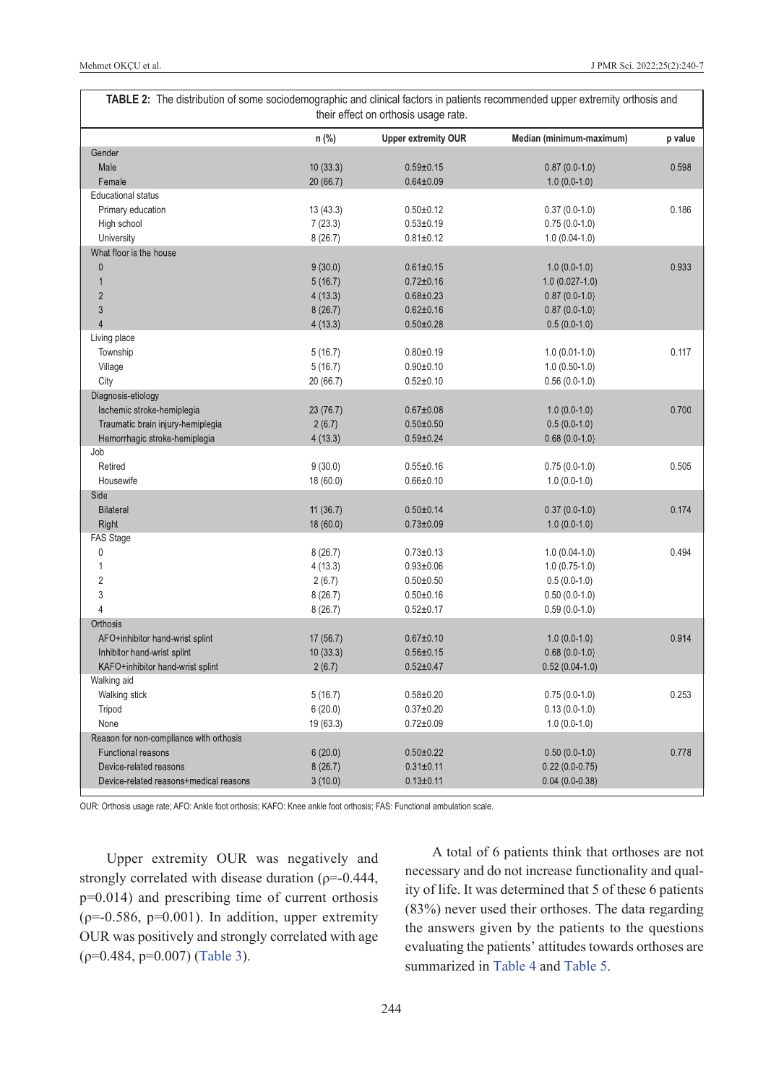<span id="page-4-0"></span>

| TABLE 2: The distribution of some sociodemographic and clinical factors in patients recommended upper extremity orthosis and<br>their effect on orthosis usage rate. |           |                            |                          |         |  |
|----------------------------------------------------------------------------------------------------------------------------------------------------------------------|-----------|----------------------------|--------------------------|---------|--|
|                                                                                                                                                                      | n (%)     | <b>Upper extremity OUR</b> | Median (minimum-maximum) | p value |  |
| Gender                                                                                                                                                               |           |                            |                          |         |  |
| Male                                                                                                                                                                 | 10(33.3)  | $0.59 \pm 0.15$            | $0.87(0.0-1.0)$          | 0.598   |  |
| Female                                                                                                                                                               | 20 (66.7) | $0.64 \pm 0.09$            | $1.0(0.0-1.0)$           |         |  |
| <b>Educational status</b>                                                                                                                                            |           |                            |                          |         |  |
| Primary education                                                                                                                                                    | 13(43.3)  | $0.50 + 0.12$              | $0.37(0.0-1.0)$          | 0.186   |  |
| High school                                                                                                                                                          | 7(23.3)   | $0.53 \pm 0.19$            | $0.75(0.0-1.0)$          |         |  |
| University                                                                                                                                                           | 8(26.7)   | $0.81 \pm 0.12$            | $1.0(0.04-1.0)$          |         |  |
| What floor is the house                                                                                                                                              |           |                            |                          |         |  |
| $\mathbf{0}$                                                                                                                                                         | 9(30.0)   | $0.61 \pm 0.15$            | $1.0(0.0-1.0)$           | 0.933   |  |
| $\mathbf{1}$                                                                                                                                                         | 5(16.7)   | $0.72 \pm 0.16$            | $1.0(0.027-1.0)$         |         |  |
| $\overline{2}$                                                                                                                                                       | 4(13.3)   | $0.68 \pm 0.23$            | $0.87(0.0-1.0)$          |         |  |
| 3                                                                                                                                                                    | 8(26.7)   | $0.62 \pm 0.16$            | $0.87(0.0-1.0)$          |         |  |
| $\overline{4}$                                                                                                                                                       | 4(13.3)   | $0.50 \pm 0.28$            | $0.5(0.0-1.0)$           |         |  |
| Living place                                                                                                                                                         |           |                            |                          |         |  |
| Township                                                                                                                                                             | 5(16.7)   | $0.80 + 0.19$              | $1.0(0.01-1.0)$          | 0.117   |  |
| Village                                                                                                                                                              | 5(16.7)   | $0.90 + 0.10$              | $1.0(0.50-1.0)$          |         |  |
| City                                                                                                                                                                 | 20 (66.7) | $0.52 + 0.10$              | $0.56(0.0-1.0)$          |         |  |
| Diagnosis-etiology                                                                                                                                                   |           |                            |                          |         |  |
| Ischemic stroke-hemiplegia                                                                                                                                           | 23(76.7)  | $0.67 \pm 0.08$            | $1.0(0.0-1.0)$           | 0.700   |  |
| Traumatic brain injury-hemiplegia                                                                                                                                    | 2(6.7)    | $0.50 \pm 0.50$            | $0.5(0.0-1.0)$           |         |  |
|                                                                                                                                                                      |           | $0.59 \pm 0.24$            |                          |         |  |
| Hemorrhagic stroke-hemiplegia<br>Job                                                                                                                                 | 4(13.3)   |                            | $0.68(0.0-1.0)$          |         |  |
| Retired                                                                                                                                                              |           |                            |                          |         |  |
|                                                                                                                                                                      | 9(30.0)   | $0.55 + 0.16$              | $0.75(0.0-1.0)$          | 0.505   |  |
| Housewife                                                                                                                                                            | 18 (60.0) | $0.66 \pm 0.10$            | $1.0(0.0-1.0)$           |         |  |
| Side                                                                                                                                                                 |           |                            |                          |         |  |
| <b>Bilateral</b>                                                                                                                                                     | 11(36.7)  | $0.50 \pm 0.14$            | $0.37(0.0-1.0)$          | 0.174   |  |
| Right                                                                                                                                                                | 18 (60.0) | $0.73 \pm 0.09$            | $1.0(0.0-1.0)$           |         |  |
| FAS Stage                                                                                                                                                            |           |                            |                          |         |  |
| $\pmb{0}$                                                                                                                                                            | 8(26.7)   | $0.73 + 0.13$              | $1.0(0.04-1.0)$          | 0.494   |  |
| 1                                                                                                                                                                    | 4(13.3)   | $0.93 + 0.06$              | $1.0(0.75-1.0)$          |         |  |
| $\overline{2}$                                                                                                                                                       | 2(6.7)    | $0.50 + 0.50$              | $0.5(0.0-1.0)$           |         |  |
| 3                                                                                                                                                                    | 8(26.7)   | $0.50 + 0.16$              | $0.50(0.0-1.0)$          |         |  |
| $\overline{4}$                                                                                                                                                       | 8(26.7)   | $0.52 \pm 0.17$            | $0.59(0.0-1.0)$          |         |  |
| Orthosis                                                                                                                                                             |           |                            |                          |         |  |
| AFO+inhibitor hand-wrist splint                                                                                                                                      | 17(56.7)  | $0.67 + 0.10$              | $1.0(0.0-1.0)$           | 0.914   |  |
| Inhibitor hand-wrist splint                                                                                                                                          | 10(33.3)  | $0.56 \pm 0.15$            | $0.68(0.0-1.0)$          |         |  |
| KAFO+inhibitor hand-wrist splint                                                                                                                                     | 2(6.7)    | $0.52 \pm 0.47$            | $0.52(0.04-1.0)$         |         |  |
| Walking aid                                                                                                                                                          |           |                            |                          |         |  |
| Walking stick                                                                                                                                                        | 5(16.7)   | $0.58 + 0.20$              | $0.75(0.0-1.0)$          | 0.253   |  |
| Tripod                                                                                                                                                               | 6(20.0)   | $0.37 + 0.20$              | $0.13(0.0-1.0)$          |         |  |
| None                                                                                                                                                                 | 19(63.3)  | $0.72 \pm 0.09$            | $1.0(0.0-1.0)$           |         |  |
| Reason for non-compliance with orthosis                                                                                                                              |           |                            |                          |         |  |
| Functional reasons                                                                                                                                                   | 6(20.0)   | $0.50 \pm 0.22$            | $0.50(0.0-1.0)$          | 0.778   |  |
| Device-related reasons                                                                                                                                               | 8(26.7)   | $0.31 \pm 0.11$            | $0.22(0.0-0.75)$         |         |  |
| Device-related reasons+medical reasons                                                                                                                               | 3(10.0)   | $0.13 \pm 0.11$            | $0.04(0.0-0.38)$         |         |  |
|                                                                                                                                                                      |           |                            |                          |         |  |

OUR: Orthosis usage rate; AFO: Ankle foot orthosis; KAFO: Knee ankle foot orthosis; FAS: Functional ambulation scale.

Upper extremity OUR was negatively and strongly correlated with disease duration ( $\rho$ =-0.444, p=0.014) and prescribing time of current orthosis  $(p=-0.586, p=0.001)$ . In addition, upper extremity OUR was positively and strongly correlated with age (ρ=0.484, p=0.007) [\(Table 3\)](#page-5-0).

A total of 6 patients think that orthoses are not necessary and do not increase functionality and quality of life. It was determined that 5 of these 6 patients (83%) never used their orthoses. The data regarding the answers given by the patients to the questions evaluating the patients' attitudes towards orthoses are summarized in [Table 4](#page-5-1) and [Table 5.](#page-5-2)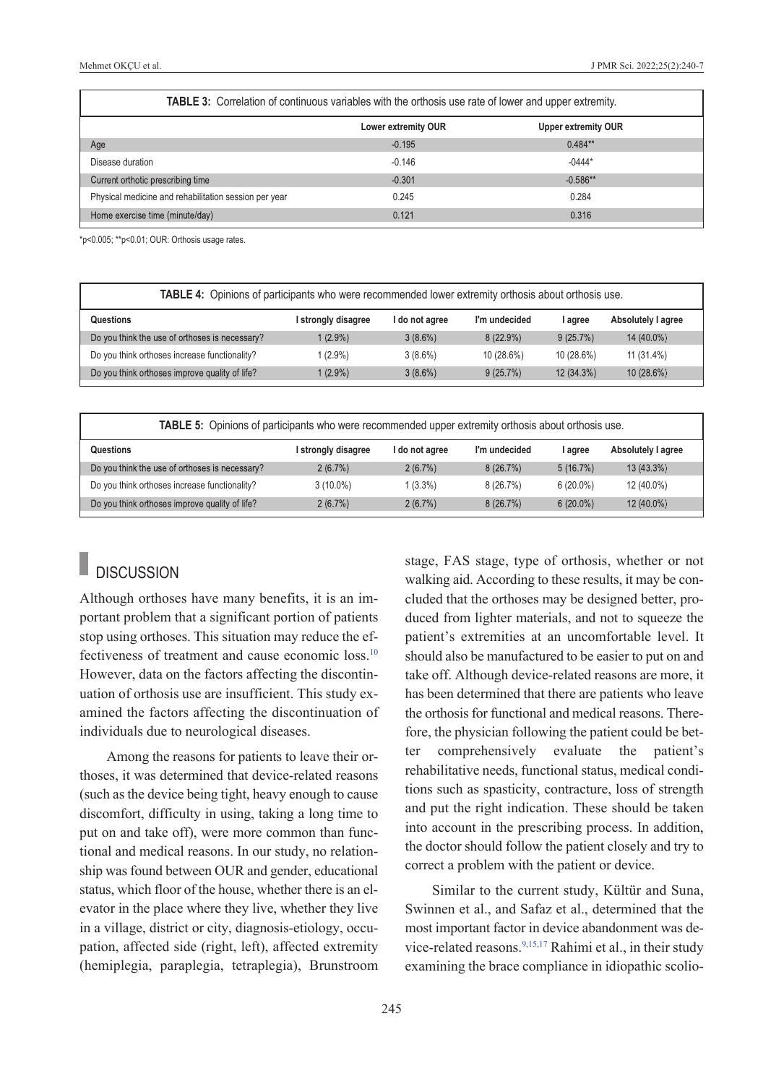| <b>TABLE 3:</b> Correlation of continuous variables with the orthosis use rate of lower and upper extremity. |                     |                            |  |  |
|--------------------------------------------------------------------------------------------------------------|---------------------|----------------------------|--|--|
|                                                                                                              | Lower extremity OUR | <b>Upper extremity OUR</b> |  |  |
| Age                                                                                                          | $-0.195$            | $0.484**$                  |  |  |
| Disease duration                                                                                             | $-0.146$            | $-0444*$                   |  |  |
| Current orthotic prescribing time                                                                            | $-0.301$            | $-0.586**$                 |  |  |
| Physical medicine and rehabilitation session per year                                                        | 0.245               | 0.284                      |  |  |
| Home exercise time (minute/day)                                                                              | 0.121               | 0.316                      |  |  |

\*p<0.005; \*\*p<0.01; OUR: Orthosis usage rates.

| <b>TABLE 4:</b> Opinions of participants who were recommended lower extremity orthosis about orthosis use. |                     |                |               |             |                    |
|------------------------------------------------------------------------------------------------------------|---------------------|----------------|---------------|-------------|--------------------|
| Questions                                                                                                  | I strongly disagree | I do not agree | I'm undecided | l agree     | Absolutely I agree |
| Do you think the use of orthoses is necessary?                                                             | $1(2.9\%)$          | $3(8.6\%)$     | $8(22.9\%)$   | $9(25.7\%)$ | 14 (40.0%)         |
| Do you think orthoses increase functionality?                                                              | $(2.9\%)$           | $3(8.6\%)$     | 10 (28.6%)    | 10 (28.6%)  | 11 (31.4%)         |
| Do you think orthoses improve quality of life?                                                             | $(2.9\%)$           | $3(8.6\%)$     | $9(25.7\%)$   | 12 (34.3%)  | 10(28.6%)          |

| <b>TABLE 5:</b> Opinions of participants who were recommended upper extremity orthosis about orthosis use. |                     |                |               |             |                    |
|------------------------------------------------------------------------------------------------------------|---------------------|----------------|---------------|-------------|--------------------|
| Questions                                                                                                  | I strongly disagree | l do not agree | I'm undecided | I agree     | Absolutely I agree |
| Do you think the use of orthoses is necessary?                                                             | $2(6.7\%)$          | $2(6.7\%)$     | 8(26.7%)      | $5(16.7\%)$ | 13 (43.3%)         |
| Do you think orthoses increase functionality?                                                              | $3(10.0\%)$         | $1(3.3\%)$     | 8(26.7%)      | $6(20.0\%)$ | 12 (40.0%)         |
| Do you think orthoses improve quality of life?                                                             | 2(6.7%)             | $2(6.7\%)$     | 8(26.7%)      | $6(20.0\%)$ | $12(40.0\%)$       |

# **DISCUSSION**

Although orthoses have many benefits, it is an important problem that a significant portion of patients stop using orthoses. This situation may reduce the effectiveness of treatment and cause economic loss[.10](#page-7-0) However, data on the factors affecting the discontinuation of orthosis use are insufficient. This study examined the factors affecting the discontinuation of individuals due to neurological diseases.

Among the reasons for patients to leave their orthoses, it was determined that device-related reasons (such as the device being tight, heavy enough to cause discomfort, difficulty in using, taking a long time to put on and take off), were more common than functional and medical reasons. In our study, no relationship was found between OUR and gender, educational status, which floor of the house, whether there is an elevator in the place where they live, whether they live in a village, district or city, diagnosis-etiology, occupation, affected side (right, left), affected extremity (hemiplegia, paraplegia, tetraplegia), Brunstroom <span id="page-5-2"></span><span id="page-5-1"></span><span id="page-5-0"></span>stage, FAS stage, type of orthosis, whether or not walking aid. According to these results, it may be concluded that the orthoses may be designed better, produced from lighter materials, and not to squeeze the patient's extremities at an uncomfortable level. It should also be manufactured to be easier to put on and take off. Although device-related reasons are more, it has been determined that there are patients who leave the orthosis for functional and medical reasons. Therefore, the physician following the patient could be better comprehensively evaluate the patient's rehabilitative needs, functional status, medical conditions such as spasticity, contracture, loss of strength and put the right indication. These should be taken into account in the prescribing process. In addition, the doctor should follow the patient closely and try to correct a problem with the patient or device.

Similar to the current study, Kültür and Suna, Swinnen et al., and Safaz et al., determined that the most important factor in device abandonment was device-related reasons.  $9,15,17$  Rahimi et al., in their study examining the brace compliance in idiopathic scolio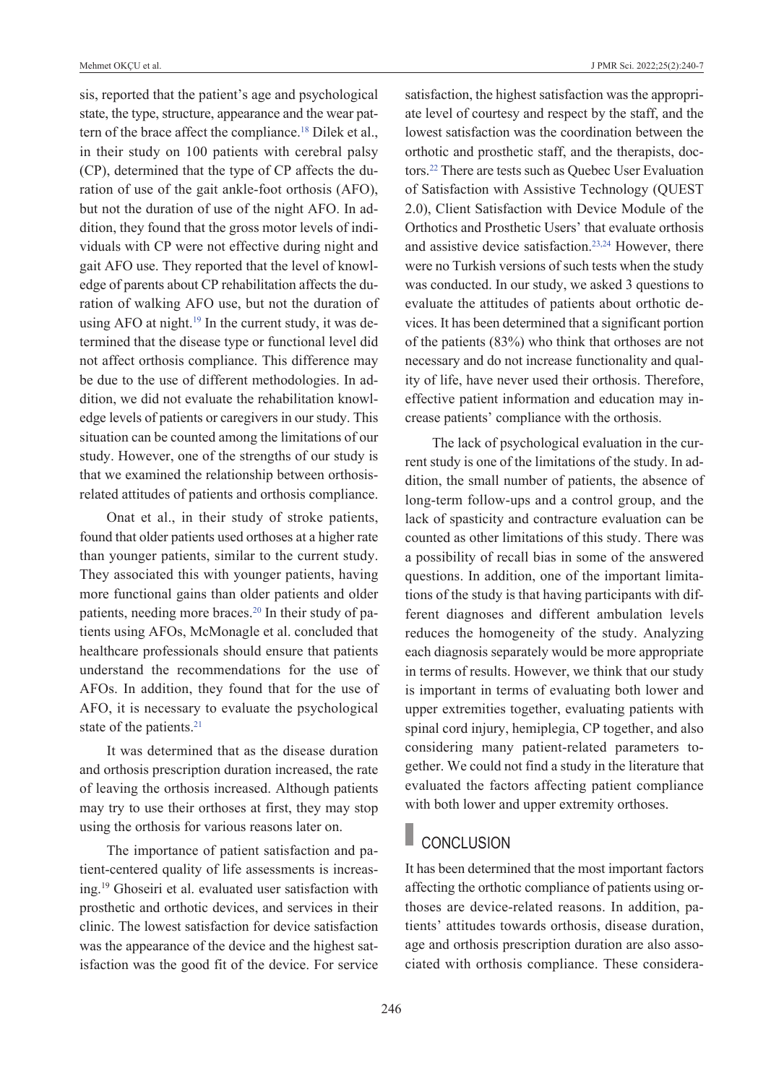sis, reported that the patient's age and psychological state, the type, structure, appearance and the wear pattern of the brace affect the compliance.<sup>18</sup> Dilek et al., in their study on 100 patients with cerebral palsy (CP), determined that the type of CP affects the duration of use of the gait ankle-foot orthosis (AFO), but not the duration of use of the night AFO. In addition, they found that the gross motor levels of individuals with CP were not effective during night and gait AFO use. They reported that the level of knowledge of parents about CP rehabilitation affects the duration of walking AFO use, but not the duration of using AFO at night.<sup>19</sup> In the current study, it was determined that the disease type or functional level did not affect orthosis compliance. This difference may be due to the use of different methodologies. In addition, we did not evaluate the rehabilitation knowledge levels of patients or caregivers in our study. This situation can be counted among the limitations of our study. However, one of the strengths of our study is that we examined the relationship between orthosisrelated attitudes of patients and orthosis compliance.

Onat et al., in their study of stroke patients, found that older patients used orthoses at a higher rate than younger patients, similar to the current study. They associated this with younger patients, having more functional gains than older patients and older patients, needing more braces.<sup>20</sup> In their study of patients using AFOs, McMonagle et al. concluded that healthcare professionals should ensure that patients understand the recommendations for the use of AFOs. In addition, they found that for the use of AFO, it is necessary to evaluate the psychological state of the patients.<sup>21</sup>

It was determined that as the disease duration and orthosis prescription duration increased, the rate of leaving the orthosis increased. Although patients may try to use their orthoses at first, they may stop using the orthosis for various reasons later on.

The importance of patient satisfaction and patient-centered quality of life assessments is increasing.19 Ghoseiri et al. evaluated user satisfaction with prosthetic and orthotic devices, and services in their clinic. The lowest satisfaction for device satisfaction was the appearance of the device and the highest satisfaction was the good fit of the device. For service satisfaction, the highest satisfaction was the appropriate level of courtesy and respect by the staff, and the lowest satisfaction was the coordination between the orthotic and prosthetic staff, and the therapists, doctors[.22](#page-7-0) There are tests such as Quebec User Evaluation of Satisfaction with Assistive Technology (QUEST 2.0), Client Satisfaction with Device Module of the Orthotics and Prosthetic Users' that evaluate orthosis and assistive device satisfaction.<sup>23,24</sup> However, there were no Turkish versions of such tests when the study was conducted. In our study, we asked 3 questions to evaluate the attitudes of patients about orthotic devices. It has been determined that a significant portion of the patients (83%) who think that orthoses are not necessary and do not increase functionality and quality of life, have never used their orthosis. Therefore, effective patient information and education may increase patients' compliance with the orthosis.

The lack of psychological evaluation in the current study is one of the limitations of the study. In addition, the small number of patients, the absence of long-term follow-ups and a control group, and the lack of spasticity and contracture evaluation can be counted as other limitations of this study. There was a possibility of recall bias in some of the answered questions. In addition, one of the important limitations of the study is that having participants with different diagnoses and different ambulation levels reduces the homogeneity of the study. Analyzing each diagnosis separately would be more appropriate in terms of results. However, we think that our study is important in terms of evaluating both lower and upper extremities together, evaluating patients with spinal cord injury, hemiplegia, CP together, and also considering many patient-related parameters together. We could not find a study in the literature that evaluated the factors affecting patient compliance with both lower and upper extremity orthoses.

### **CONCLUSION**

It has been determined that the most important factors affecting the orthotic compliance of patients using orthoses are device-related reasons. In addition, patients' attitudes towards orthosis, disease duration, age and orthosis prescription duration are also associated with orthosis compliance. These considera-